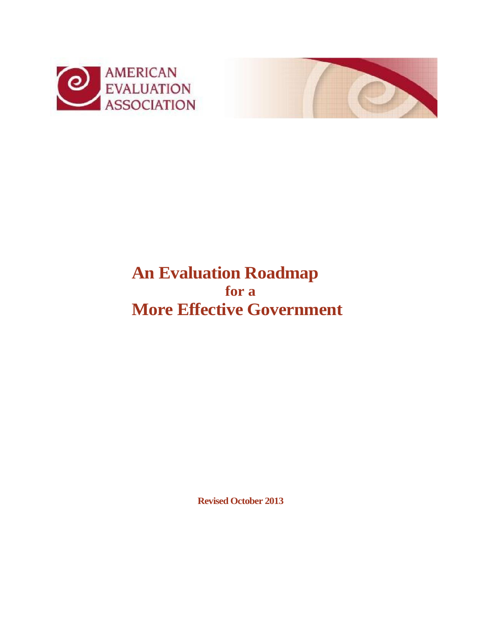



# **An Evaluation Roadmap for a More Effective Government**

**Revised October 2013**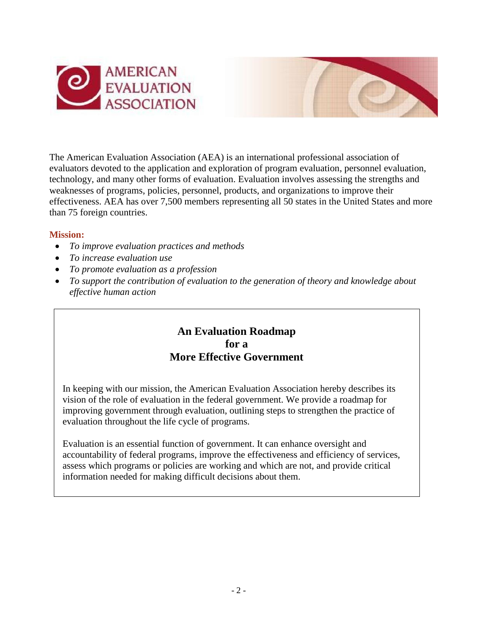



The American Evaluation Association (AEA) is an international professional association of evaluators devoted to the application and exploration of program evaluation, personnel evaluation, technology, and many other forms of evaluation. Evaluation involves assessing the strengths and weaknesses of programs, policies, personnel, products, and organizations to improve their effectiveness. AEA has over 7,500 members representing all 50 states in the United States and more than 75 foreign countries.

### **Mission:**

- *To improve evaluation practices and methods*
- *To increase evaluation use*
- *To promote evaluation as a profession*
- *To support the contribution of evaluation to the generation of theory and knowledge about effective human action*

## **An Evaluation Roadmap for a More Effective Government**

In keeping with our mission, the American Evaluation Association hereby describes its vision of the role of evaluation in the federal government. We provide a roadmap for improving government through evaluation, outlining steps to strengthen the practice of evaluation throughout the life cycle of programs.

Evaluation is an essential function of government. It can enhance oversight and accountability of federal programs, improve the effectiveness and efficiency of services, assess which programs or policies are working and which are not, and provide critical information needed for making difficult decisions about them.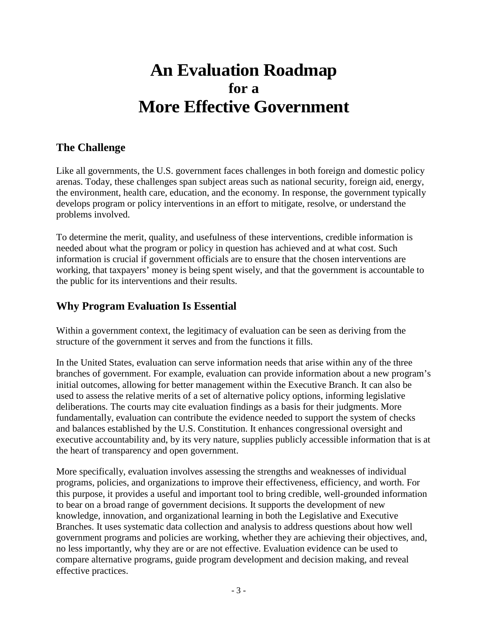# **An Evaluation Roadmap for a More Effective Government**

# **The Challenge**

Like all governments, the U.S. government faces challenges in both foreign and domestic policy arenas. Today, these challenges span subject areas such as national security, foreign aid, energy, the environment, health care, education, and the economy. In response, the government typically develops program or policy interventions in an effort to mitigate, resolve, or understand the problems involved.

To determine the merit, quality, and usefulness of these interventions, credible information is needed about what the program or policy in question has achieved and at what cost. Such information is crucial if government officials are to ensure that the chosen interventions are working, that taxpayers' money is being spent wisely, and that the government is accountable to the public for its interventions and their results.

# **Why Program Evaluation Is Essential**

Within a government context, the legitimacy of evaluation can be seen as deriving from the structure of the government it serves and from the functions it fills.

In the United States, evaluation can serve information needs that arise within any of the three branches of government. For example, evaluation can provide information about a new program's initial outcomes, allowing for better management within the Executive Branch. It can also be used to assess the relative merits of a set of alternative policy options, informing legislative deliberations. The courts may cite evaluation findings as a basis for their judgments. More fundamentally, evaluation can contribute the evidence needed to support the system of checks and balances established by the U.S. Constitution. It enhances congressional oversight and executive accountability and, by its very nature, supplies publicly accessible information that is at the heart of transparency and open government.

More specifically, evaluation involves assessing the strengths and weaknesses of individual programs, policies, and organizations to improve their effectiveness, efficiency, and worth. For this purpose, it provides a useful and important tool to bring credible, well-grounded information to bear on a broad range of government decisions. It supports the development of new knowledge, innovation, and organizational learning in both the Legislative and Executive Branches. It uses systematic data collection and analysis to address questions about how well government programs and policies are working, whether they are achieving their objectives, and, no less importantly, why they are or are not effective. Evaluation evidence can be used to compare alternative programs, guide program development and decision making, and reveal effective practices.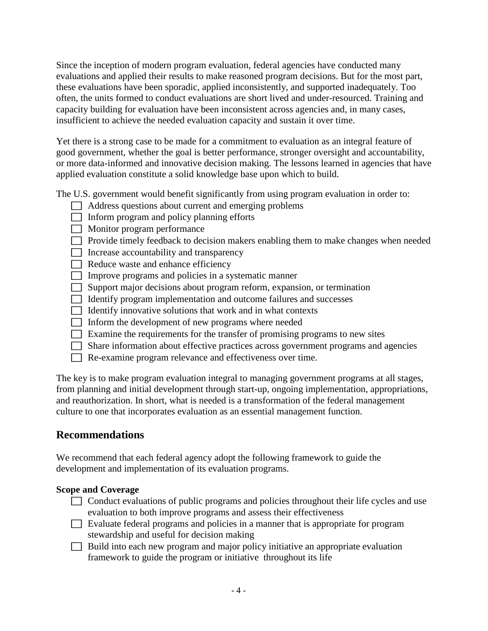Since the inception of modern program evaluation, federal agencies have conducted many evaluations and applied their results to make reasoned program decisions. But for the most part, these evaluations have been sporadic, applied inconsistently, and supported inadequately. Too often, the units formed to conduct evaluations are short lived and under-resourced. Training and capacity building for evaluation have been inconsistent across agencies and, in many cases, insufficient to achieve the needed evaluation capacity and sustain it over time.

Yet there is a strong case to be made for a commitment to evaluation as an integral feature of good government, whether the goal is better performance, stronger oversight and accountability, or more data-informed and innovative decision making. The lessons learned in agencies that have applied evaluation constitute a solid knowledge base upon which to build.

The U.S. government would benefit significantly from using program evaluation in order to:

- Address questions about current and emerging problems
- $\Box$  Inform program and policy planning efforts
- Monitor program performance
- $\Box$  Provide timely feedback to decision makers enabling them to make changes when needed
- $\Box$  Increase accountability and transparency
- $\Box$  Reduce waste and enhance efficiency
- Improve programs and policies in a systematic manner
- Support major decisions about program reform, expansion, or termination
- Identify program implementation and outcome failures and successes
- $\Box$  Identify innovative solutions that work and in what contexts
- Inform the development of new programs where needed
- $\Box$  Examine the requirements for the transfer of promising programs to new sites
- Share information about effective practices across government programs and agencies
- Re-examine program relevance and effectiveness over time.

The key is to make program evaluation integral to managing government programs at all stages, from planning and initial development through start-up, ongoing implementation, appropriations, and reauthorization. In short, what is needed is a transformation of the federal management culture to one that incorporates evaluation as an essential management function.

## **Recommendations**

We recommend that each federal agency adopt the following framework to guide the development and implementation of its evaluation programs.

#### **Scope and Coverage**

- $\Box$  Conduct evaluations of public programs and policies throughout their life cycles and use evaluation to both improve programs and assess their effectiveness
- Evaluate federal programs and policies in a manner that is appropriate for program stewardship and useful for decision making
- $\Box$  Build into each new program and major policy initiative an appropriate evaluation framework to guide the program or initiative throughout its life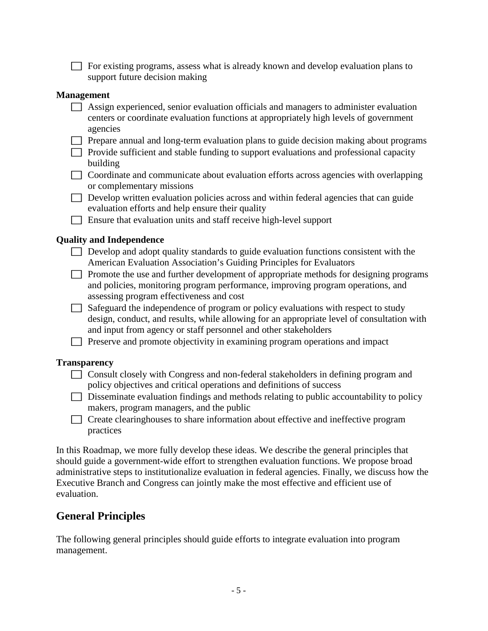For existing programs, assess what is already known and develop evaluation plans to support future decision making

#### **Management**

- Assign experienced, senior evaluation officials and managers to administer evaluation centers or coordinate evaluation functions at appropriately high levels of government agencies
- $\Box$  Prepare annual and long-term evaluation plans to guide decision making about programs
- $\Box$  Provide sufficient and stable funding to support evaluations and professional capacity building
- $\Box$  Coordinate and communicate about evaluation efforts across agencies with overlapping or complementary missions
- $\Box$  Develop written evaluation policies across and within federal agencies that can guide evaluation efforts and help ensure their quality
- Ensure that evaluation units and staff receive high-level support

#### **Quality and Independence**

- $\Box$  Develop and adopt quality standards to guide evaluation functions consistent with the American Evaluation Association's Guiding Principles for Evaluators
- $\Box$  Promote the use and further development of appropriate methods for designing programs and policies, monitoring program performance, improving program operations, and assessing program effectiveness and cost
- $\Box$  Safeguard the independence of program or policy evaluations with respect to study design, conduct, and results, while allowing for an appropriate level of consultation with and input from agency or staff personnel and other stakeholders
- Preserve and promote objectivity in examining program operations and impact

#### **Transparency**

- Consult closely with Congress and non-federal stakeholders in defining program and policy objectives and critical operations and definitions of success
- $\Box$  Disseminate evaluation findings and methods relating to public accountability to policy makers, program managers, and the public
- Create clearinghouses to share information about effective and ineffective program practices

In this Roadmap, we more fully develop these ideas. We describe the general principles that should guide a government-wide effort to strengthen evaluation functions. We propose broad administrative steps to institutionalize evaluation in federal agencies. Finally, we discuss how the Executive Branch and Congress can jointly make the most effective and efficient use of evaluation.

## **General Principles**

The following general principles should guide efforts to integrate evaluation into program management.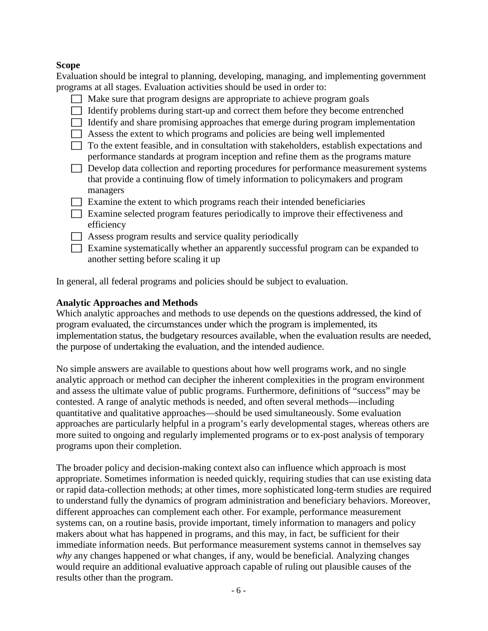## **Scope**

Evaluation should be integral to planning, developing, managing, and implementing government programs at all stages. Evaluation activities should be used in order to:

- Make sure that program designs are appropriate to achieve program goals
- $\Box$  Identify problems during start-up and correct them before they become entrenched
- $\Box$  Identify and share promising approaches that emerge during program implementation
- $\Box$  Assess the extent to which programs and policies are being well implemented
- $\Box$  To the extent feasible, and in consultation with stakeholders, establish expectations and performance standards at program inception and refine them as the programs mature
- Develop data collection and reporting procedures for performance measurement systems that provide a continuing flow of timely information to policymakers and program managers
- $\Box$  Examine the extent to which programs reach their intended beneficiaries
- Examine selected program features periodically to improve their effectiveness and efficiency
- $\Box$  Assess program results and service quality periodically
- Examine systematically whether an apparently successful program can be expanded to another setting before scaling it up

In general, all federal programs and policies should be subject to evaluation.

## **Analytic Approaches and Methods**

Which analytic approaches and methods to use depends on the questions addressed, the kind of program evaluated, the circumstances under which the program is implemented, its implementation status, the budgetary resources available, when the evaluation results are needed, the purpose of undertaking the evaluation, and the intended audience.

No simple answers are available to questions about how well programs work, and no single analytic approach or method can decipher the inherent complexities in the program environment and assess the ultimate value of public programs. Furthermore, definitions of "success" may be contested. A range of analytic methods is needed, and often several methods—including quantitative and qualitative approaches—should be used simultaneously. Some evaluation approaches are particularly helpful in a program's early developmental stages, whereas others are more suited to ongoing and regularly implemented programs or to ex-post analysis of temporary programs upon their completion.

The broader policy and decision-making context also can influence which approach is most appropriate. Sometimes information is needed quickly, requiring studies that can use existing data or rapid data-collection methods; at other times, more sophisticated long-term studies are required to understand fully the dynamics of program administration and beneficiary behaviors. Moreover, different approaches can complement each other. For example, performance measurement systems can, on a routine basis, provide important, timely information to managers and policy makers about what has happened in programs, and this may, in fact, be sufficient for their immediate information needs. But performance measurement systems cannot in themselves say *why* any changes happened or what changes, if any, would be beneficial. Analyzing changes would require an additional evaluative approach capable of ruling out plausible causes of the results other than the program.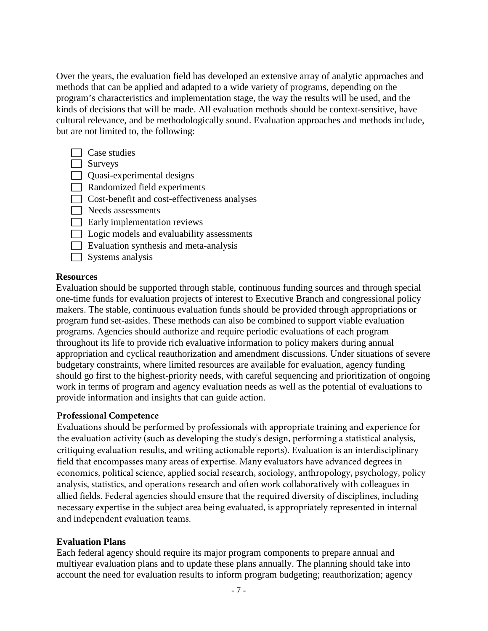Over the years, the evaluation field has developed an extensive array of analytic approaches and methods that can be applied and adapted to a wide variety of programs, depending on the program's characteristics and implementation stage, the way the results will be used, and the kinds of decisions that will be made. All evaluation methods should be context-sensitive, have cultural relevance, and be methodologically sound. Evaluation approaches and methods include, but are not limited to, the following:

- $\Box$  Case studies
- Surveys
- $\Box$  Quasi-experimental designs
- Randomized field experiments
- Cost-benefit and cost-effectiveness analyses
- $\Box$  Needs assessments
- $\Box$  Early implementation reviews
- □ Logic models and evaluability assessments
- $\Box$  Evaluation synthesis and meta-analysis
- $\Box$  Systems analysis

#### **Resources**

Evaluation should be supported through stable, continuous funding sources and through special one-time funds for evaluation projects of interest to Executive Branch and congressional policy makers. The stable, continuous evaluation funds should be provided through appropriations or program fund set-asides. These methods can also be combined to support viable evaluation programs. Agencies should authorize and require periodic evaluations of each program throughout its life to provide rich evaluative information to policy makers during annual appropriation and cyclical reauthorization and amendment discussions. Under situations of severe budgetary constraints, where limited resources are available for evaluation, agency funding should go first to the highest-priority needs, with careful sequencing and prioritization of ongoing work in terms of program and agency evaluation needs as well as the potential of evaluations to provide information and insights that can guide action.

### **Professional Competence**

Evaluations should be performed by professionals with appropriate training and experience for the evaluation activity (such as developing the study's design, performing a statistical analysis, critiquing evaluation results, and writing actionable reports). Evaluation is an interdisciplinary field that encompasses many areas of expertise. Many evaluators have advanced degrees in economics, political science, applied social research, sociology, anthropology, psychology, policy analysis, statistics, and operations research and often work collaboratively with colleagues in allied fields. Federal agencies should ensure that the required diversity of disciplines, including necessary expertise in the subject area being evaluated, is appropriately represented in internal and independent evaluation teams.

### **Evaluation Plans**

Each federal agency should require its major program components to prepare annual and multiyear evaluation plans and to update these plans annually. The planning should take into account the need for evaluation results to inform program budgeting; reauthorization; agency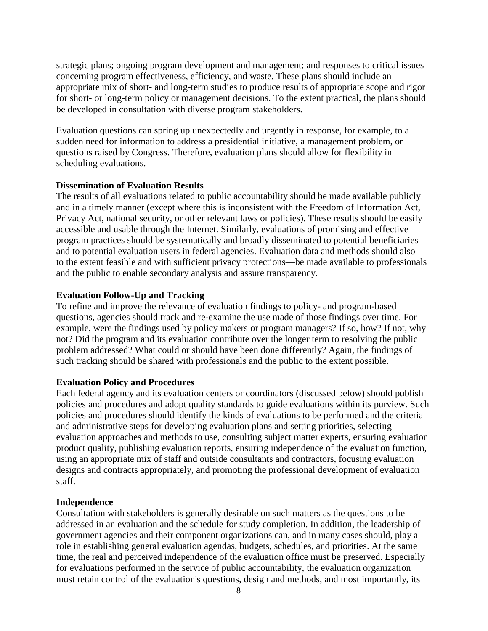strategic plans; ongoing program development and management; and responses to critical issues concerning program effectiveness, efficiency, and waste. These plans should include an appropriate mix of short- and long-term studies to produce results of appropriate scope and rigor for short- or long-term policy or management decisions. To the extent practical, the plans should be developed in consultation with diverse program stakeholders.

Evaluation questions can spring up unexpectedly and urgently in response, for example, to a sudden need for information to address a presidential initiative, a management problem, or questions raised by Congress. Therefore, evaluation plans should allow for flexibility in scheduling evaluations.

#### **Dissemination of Evaluation Results**

The results of all evaluations related to public accountability should be made available publicly and in a timely manner (except where this is inconsistent with the Freedom of Information Act, Privacy Act, national security, or other relevant laws or policies). These results should be easily accessible and usable through the Internet. Similarly, evaluations of promising and effective program practices should be systematically and broadly disseminated to potential beneficiaries and to potential evaluation users in federal agencies. Evaluation data and methods should also to the extent feasible and with sufficient privacy protections—be made available to professionals and the public to enable secondary analysis and assure transparency.

#### **Evaluation Follow-Up and Tracking**

To refine and improve the relevance of evaluation findings to policy- and program-based questions, agencies should track and re-examine the use made of those findings over time. For example, were the findings used by policy makers or program managers? If so, how? If not, why not? Did the program and its evaluation contribute over the longer term to resolving the public problem addressed? What could or should have been done differently? Again, the findings of such tracking should be shared with professionals and the public to the extent possible.

#### **Evaluation Policy and Procedures**

Each federal agency and its evaluation centers or coordinators (discussed below) should publish policies and procedures and adopt quality standards to guide evaluations within its purview. Such policies and procedures should identify the kinds of evaluations to be performed and the criteria and administrative steps for developing evaluation plans and setting priorities, selecting evaluation approaches and methods to use, consulting subject matter experts, ensuring evaluation product quality, publishing evaluation reports, ensuring independence of the evaluation function, using an appropriate mix of staff and outside consultants and contractors, focusing evaluation designs and contracts appropriately, and promoting the professional development of evaluation staff.

#### **Independence**

Consultation with stakeholders is generally desirable on such matters as the questions to be addressed in an evaluation and the schedule for study completion. In addition, the leadership of government agencies and their component organizations can, and in many cases should, play a role in establishing general evaluation agendas, budgets, schedules, and priorities. At the same time, the real and perceived independence of the evaluation office must be preserved. Especially for evaluations performed in the service of public accountability, the evaluation organization must retain control of the evaluation's questions, design and methods, and most importantly, its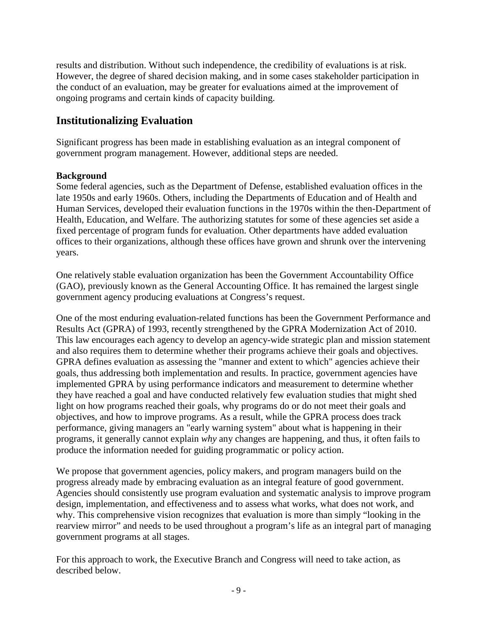results and distribution. Without such independence, the credibility of evaluations is at risk. However, the degree of shared decision making, and in some cases stakeholder participation in the conduct of an evaluation, may be greater for evaluations aimed at the improvement of ongoing programs and certain kinds of capacity building.

## **Institutionalizing Evaluation**

Significant progress has been made in establishing evaluation as an integral component of government program management. However, additional steps are needed.

#### **Background**

Some federal agencies, such as the Department of Defense, established evaluation offices in the late 1950s and early 1960s. Others, including the Departments of Education and of Health and Human Services, developed their evaluation functions in the 1970s within the then-Department of Health, Education, and Welfare. The authorizing statutes for some of these agencies set aside a fixed percentage of program funds for evaluation. Other departments have added evaluation offices to their organizations, although these offices have grown and shrunk over the intervening years.

One relatively stable evaluation organization has been the Government Accountability Office (GAO), previously known as the General Accounting Office. It has remained the largest single government agency producing evaluations at Congress's request.

One of the most enduring evaluation-related functions has been the Government Performance and Results Act (GPRA) of 1993, recently strengthened by the GPRA Modernization Act of 2010. This law encourages each agency to develop an agency-wide strategic plan and mission statement and also requires them to determine whether their programs achieve their goals and objectives. GPRA defines evaluation as assessing the "manner and extent to which" agencies achieve their goals, thus addressing both implementation and results. In practice, government agencies have implemented GPRA by using performance indicators and measurement to determine whether they have reached a goal and have conducted relatively few evaluation studies that might shed light on how programs reached their goals, why programs do or do not meet their goals and objectives, and how to improve programs. As a result, while the GPRA process does track performance, giving managers an "early warning system" about what is happening in their programs, it generally cannot explain *why* any changes are happening, and thus, it often fails to produce the information needed for guiding programmatic or policy action.

We propose that government agencies, policy makers, and program managers build on the progress already made by embracing evaluation as an integral feature of good government. Agencies should consistently use program evaluation and systematic analysis to improve program design, implementation, and effectiveness and to assess what works, what does not work, and why. This comprehensive vision recognizes that evaluation is more than simply "looking in the rearview mirror" and needs to be used throughout a program's life as an integral part of managing government programs at all stages.

For this approach to work, the Executive Branch and Congress will need to take action, as described below.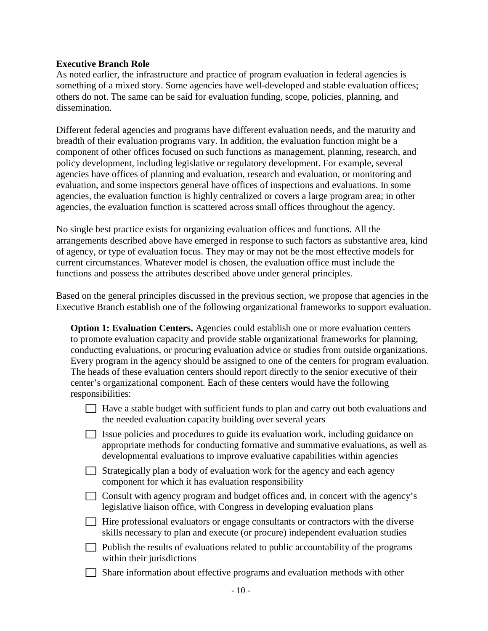#### **Executive Branch Role**

As noted earlier, the infrastructure and practice of program evaluation in federal agencies is something of a mixed story. Some agencies have well-developed and stable evaluation offices; others do not. The same can be said for evaluation funding, scope, policies, planning, and dissemination.

Different federal agencies and programs have different evaluation needs, and the maturity and breadth of their evaluation programs vary. In addition, the evaluation function might be a component of other offices focused on such functions as management, planning, research, and policy development, including legislative or regulatory development. For example, several agencies have offices of planning and evaluation, research and evaluation, or monitoring and evaluation, and some inspectors general have offices of inspections and evaluations. In some agencies, the evaluation function is highly centralized or covers a large program area; in other agencies, the evaluation function is scattered across small offices throughout the agency.

No single best practice exists for organizing evaluation offices and functions. All the arrangements described above have emerged in response to such factors as substantive area, kind of agency, or type of evaluation focus. They may or may not be the most effective models for current circumstances. Whatever model is chosen, the evaluation office must include the functions and possess the attributes described above under general principles.

Based on the general principles discussed in the previous section, we propose that agencies in the Executive Branch establish one of the following organizational frameworks to support evaluation.

| <b>Option 1: Evaluation Centers.</b> Agencies could establish one or more evaluation centers  |
|-----------------------------------------------------------------------------------------------|
| to promote evaluation capacity and provide stable organizational frameworks for planning,     |
| conducting evaluations, or procuring evaluation advice or studies from outside organizations. |
| Every program in the agency should be assigned to one of the centers for program evaluation.  |
| The heads of these evaluation centers should report directly to the senior executive of their |
| center's organizational component. Each of these centers would have the following             |
| responsibilities:                                                                             |

- $\Box$  Have a stable budget with sufficient funds to plan and carry out both evaluations and the needed evaluation capacity building over several years
- Issue policies and procedures to guide its evaluation work, including guidance on appropriate methods for conducting formative and summative evaluations, as well as developmental evaluations to improve evaluative capabilities within agencies
- $\Box$  Strategically plan a body of evaluation work for the agency and each agency component for which it has evaluation responsibility
- $\Box$  Consult with agency program and budget offices and, in concert with the agency's legislative liaison office, with Congress in developing evaluation plans
- $\Box$  Hire professional evaluators or engage consultants or contractors with the diverse skills necessary to plan and execute (or procure) independent evaluation studies
- $\Box$  Publish the results of evaluations related to public accountability of the programs within their jurisdictions
- Share information about effective programs and evaluation methods with other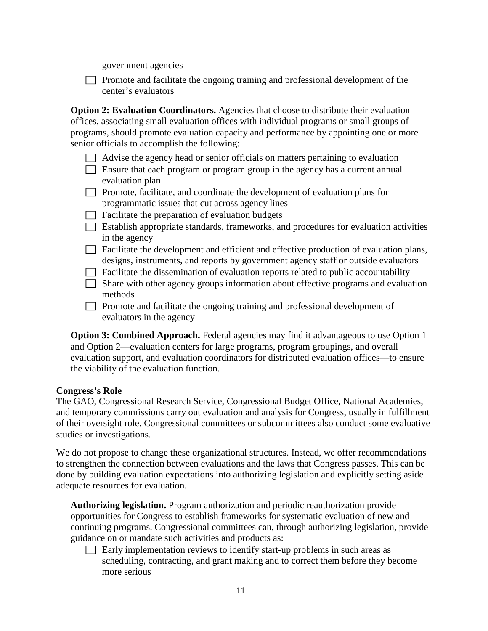government agencies

 Promote and facilitate the ongoing training and professional development of the center's evaluators

**Option 2: Evaluation Coordinators.** Agencies that choose to distribute their evaluation offices, associating small evaluation offices with individual programs or small groups of programs, should promote evaluation capacity and performance by appointing one or more senior officials to accomplish the following:

- $\Box$  Advise the agency head or senior officials on matters pertaining to evaluation
- Ensure that each program or program group in the agency has a current annual evaluation plan
- $\Box$  Promote, facilitate, and coordinate the development of evaluation plans for programmatic issues that cut across agency lines
- $\Box$  Facilitate the preparation of evaluation budgets
- Establish appropriate standards, frameworks, and procedures for evaluation activities in the agency
- $\Box$  Facilitate the development and efficient and effective production of evaluation plans, designs, instruments, and reports by government agency staff or outside evaluators
- $\Box$  Facilitate the dissemination of evaluation reports related to public accountability
- Share with other agency groups information about effective programs and evaluation methods
- $\Box$  Promote and facilitate the ongoing training and professional development of evaluators in the agency

**Option 3: Combined Approach.** Federal agencies may find it advantageous to use Option 1 and Option 2—evaluation centers for large programs, program groupings, and overall evaluation support, and evaluation coordinators for distributed evaluation offices—to ensure the viability of the evaluation function.

### **Congress's Role**

The GAO, Congressional Research Service, Congressional Budget Office, National Academies, and temporary commissions carry out evaluation and analysis for Congress, usually in fulfillment of their oversight role. Congressional committees or subcommittees also conduct some evaluative studies or investigations.

We do not propose to change these organizational structures. Instead, we offer recommendations to strengthen the connection between evaluations and the laws that Congress passes. This can be done by building evaluation expectations into authorizing legislation and explicitly setting aside adequate resources for evaluation.

**Authorizing legislation.** Program authorization and periodic reauthorization provide opportunities for Congress to establish frameworks for systematic evaluation of new and continuing programs. Congressional committees can, through authorizing legislation, provide guidance on or mandate such activities and products as:

 $\Box$  Early implementation reviews to identify start-up problems in such areas as scheduling, contracting, and grant making and to correct them before they become more serious